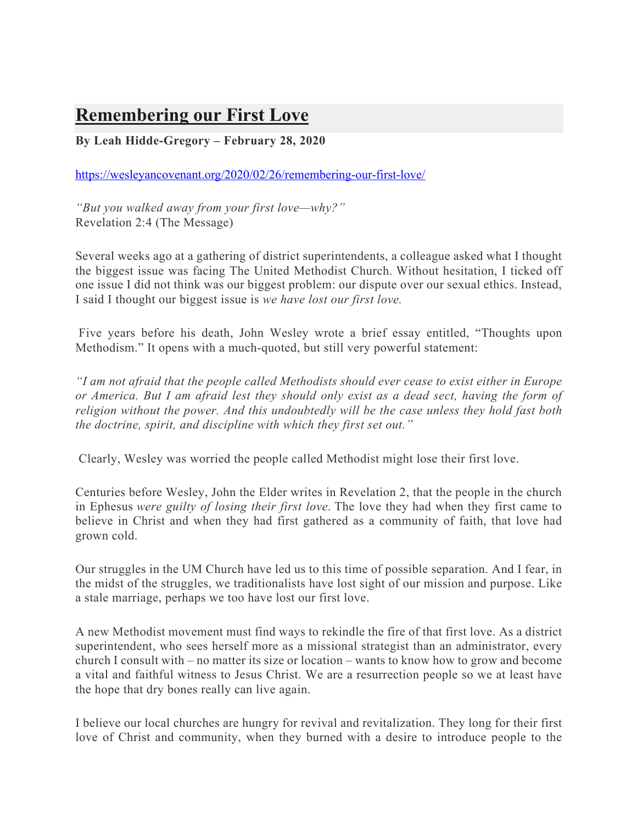## **Remembering our First Love**

**By Leah Hidde-Gregory – February 28, 2020** 

https://wesleyancovenant.org/2020/02/26/remembering-our-first-love/

*"But you walked away from your first love—why?"* Revelation 2:4 (The Message)

Several weeks ago at a gathering of district superintendents, a colleague asked what I thought the biggest issue was facing The United Methodist Church. Without hesitation, I ticked off one issue I did not think was our biggest problem: our dispute over our sexual ethics. Instead, I said I thought our biggest issue is *we have lost our first love.*

Five years before his death, John Wesley wrote a brief essay entitled, "Thoughts upon Methodism." It opens with a much-quoted, but still very powerful statement:

*"I am not afraid that the people called Methodists should ever cease to exist either in Europe or America. But I am afraid lest they should only exist as a dead sect, having the form of religion without the power. And this undoubtedly will be the case unless they hold fast both the doctrine, spirit, and discipline with which they first set out."*

Clearly, Wesley was worried the people called Methodist might lose their first love.

Centuries before Wesley, John the Elder writes in Revelation 2, that the people in the church in Ephesus *were guilty of losing their first love*. The love they had when they first came to believe in Christ and when they had first gathered as a community of faith, that love had grown cold.

Our struggles in the UM Church have led us to this time of possible separation. And I fear, in the midst of the struggles, we traditionalists have lost sight of our mission and purpose. Like a stale marriage, perhaps we too have lost our first love.

A new Methodist movement must find ways to rekindle the fire of that first love. As a district superintendent, who sees herself more as a missional strategist than an administrator, every church I consult with – no matter its size or location – wants to know how to grow and become a vital and faithful witness to Jesus Christ. We are a resurrection people so we at least have the hope that dry bones really can live again.

I believe our local churches are hungry for revival and revitalization. They long for their first love of Christ and community, when they burned with a desire to introduce people to the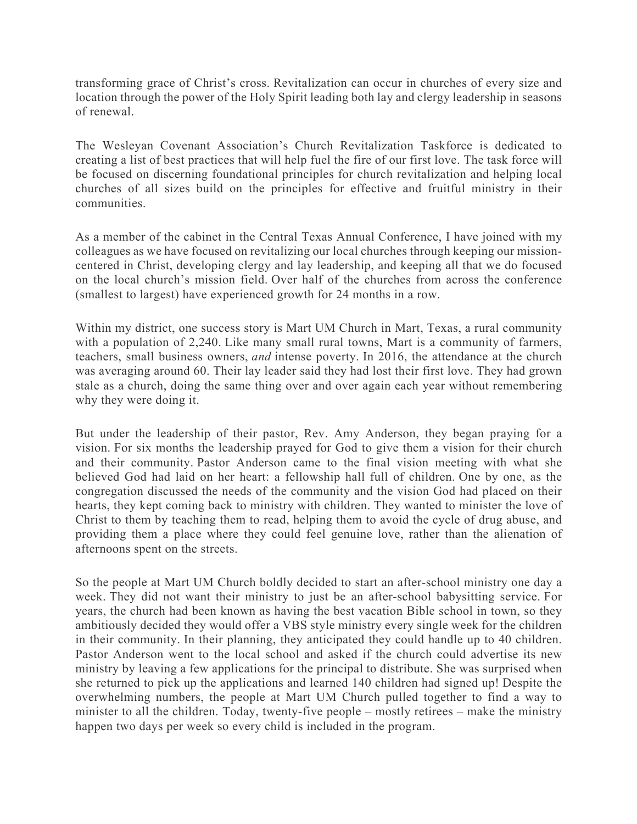transforming grace of Christ's cross. Revitalization can occur in churches of every size and location through the power of the Holy Spirit leading both lay and clergy leadership in seasons of renewal.

The Wesleyan Covenant Association's Church Revitalization Taskforce is dedicated to creating a list of best practices that will help fuel the fire of our first love. The task force will be focused on discerning foundational principles for church revitalization and helping local churches of all sizes build on the principles for effective and fruitful ministry in their communities.

As a member of the cabinet in the Central Texas Annual Conference, I have joined with my colleagues as we have focused on revitalizing our local churches through keeping our missioncentered in Christ, developing clergy and lay leadership, and keeping all that we do focused on the local church's mission field. Over half of the churches from across the conference (smallest to largest) have experienced growth for 24 months in a row.

Within my district, one success story is Mart UM Church in Mart, Texas, a rural community with a population of 2,240. Like many small rural towns, Mart is a community of farmers, teachers, small business owners, *and* intense poverty. In 2016, the attendance at the church was averaging around 60. Their lay leader said they had lost their first love. They had grown stale as a church, doing the same thing over and over again each year without remembering why they were doing it.

But under the leadership of their pastor, Rev. Amy Anderson, they began praying for a vision. For six months the leadership prayed for God to give them a vision for their church and their community. Pastor Anderson came to the final vision meeting with what she believed God had laid on her heart: a fellowship hall full of children. One by one, as the congregation discussed the needs of the community and the vision God had placed on their hearts, they kept coming back to ministry with children. They wanted to minister the love of Christ to them by teaching them to read, helping them to avoid the cycle of drug abuse, and providing them a place where they could feel genuine love, rather than the alienation of afternoons spent on the streets.

So the people at Mart UM Church boldly decided to start an after-school ministry one day a week. They did not want their ministry to just be an after-school babysitting service. For years, the church had been known as having the best vacation Bible school in town, so they ambitiously decided they would offer a VBS style ministry every single week for the children in their community. In their planning, they anticipated they could handle up to 40 children. Pastor Anderson went to the local school and asked if the church could advertise its new ministry by leaving a few applications for the principal to distribute. She was surprised when she returned to pick up the applications and learned 140 children had signed up! Despite the overwhelming numbers, the people at Mart UM Church pulled together to find a way to minister to all the children. Today, twenty-five people – mostly retirees – make the ministry happen two days per week so every child is included in the program.